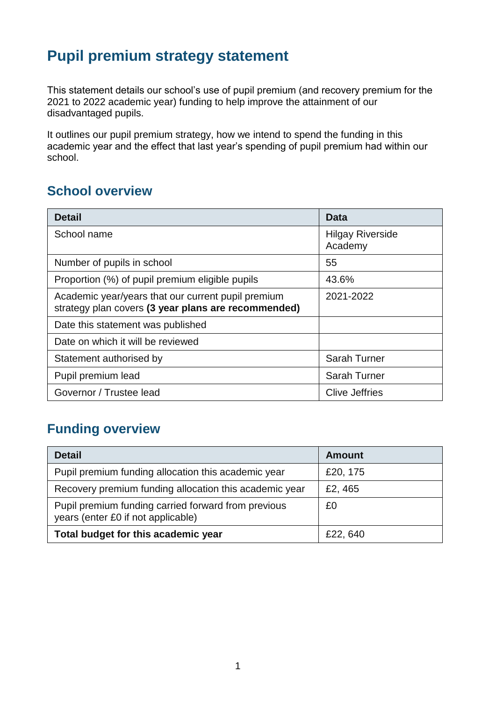## **Pupil premium strategy statement**

This statement details our school's use of pupil premium (and recovery premium for the 2021 to 2022 academic year) funding to help improve the attainment of our disadvantaged pupils.

It outlines our pupil premium strategy, how we intend to spend the funding in this academic year and the effect that last year's spending of pupil premium had within our school.

#### **School overview**

| <b>Detail</b>                                                                                             | Data                               |
|-----------------------------------------------------------------------------------------------------------|------------------------------------|
| School name                                                                                               | <b>Hilgay Riverside</b><br>Academy |
| Number of pupils in school                                                                                | 55                                 |
| Proportion (%) of pupil premium eligible pupils                                                           | 43.6%                              |
| Academic year/years that our current pupil premium<br>strategy plan covers (3 year plans are recommended) | 2021-2022                          |
| Date this statement was published                                                                         |                                    |
| Date on which it will be reviewed                                                                         |                                    |
| Statement authorised by                                                                                   | <b>Sarah Turner</b>                |
| Pupil premium lead                                                                                        | <b>Sarah Turner</b>                |
| Governor / Trustee lead                                                                                   | <b>Clive Jeffries</b>              |

### **Funding overview**

| <b>Detail</b>                                                                             | <b>Amount</b> |
|-------------------------------------------------------------------------------------------|---------------|
| Pupil premium funding allocation this academic year                                       | £20, 175      |
| Recovery premium funding allocation this academic year                                    | £2, 465       |
| Pupil premium funding carried forward from previous<br>years (enter £0 if not applicable) | £0            |
| Total budget for this academic year                                                       | £22,640       |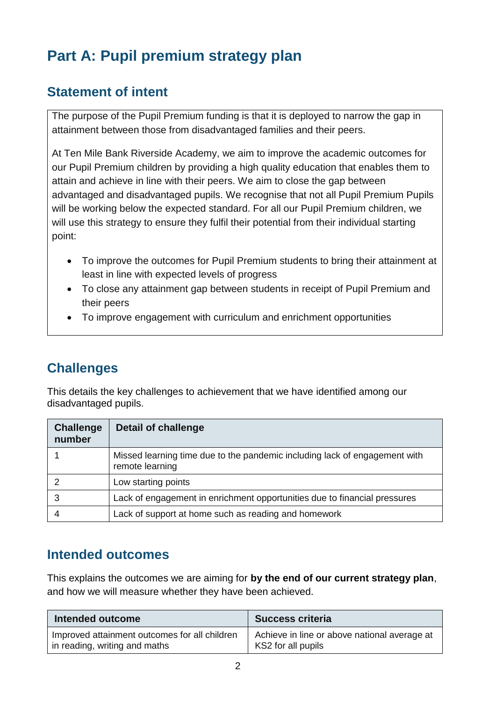# **Part A: Pupil premium strategy plan**

### **Statement of intent**

The purpose of the Pupil Premium funding is that it is deployed to narrow the gap in attainment between those from disadvantaged families and their peers.

At Ten Mile Bank Riverside Academy, we aim to improve the academic outcomes for our Pupil Premium children by providing a high quality education that enables them to attain and achieve in line with their peers. We aim to close the gap between advantaged and disadvantaged pupils. We recognise that not all Pupil Premium Pupils will be working below the expected standard. For all our Pupil Premium children, we will use this strategy to ensure they fulfil their potential from their individual starting point:

- To improve the outcomes for Pupil Premium students to bring their attainment at least in line with expected levels of progress
- To close any attainment gap between students in receipt of Pupil Premium and their peers
- To improve engagement with curriculum and enrichment opportunities

### **Challenges**

This details the key challenges to achievement that we have identified among our disadvantaged pupils.

| <b>Challenge</b><br>number | <b>Detail of challenge</b>                                                                    |
|----------------------------|-----------------------------------------------------------------------------------------------|
|                            | Missed learning time due to the pandemic including lack of engagement with<br>remote learning |
|                            | Low starting points                                                                           |
|                            | Lack of engagement in enrichment opportunities due to financial pressures                     |
|                            | Lack of support at home such as reading and homework                                          |

#### **Intended outcomes**

This explains the outcomes we are aiming for **by the end of our current strategy plan**, and how we will measure whether they have been achieved.

| Intended outcome                              | <b>Success criteria</b>                      |
|-----------------------------------------------|----------------------------------------------|
| Improved attainment outcomes for all children | Achieve in line or above national average at |
| in reading, writing and maths                 | KS2 for all pupils                           |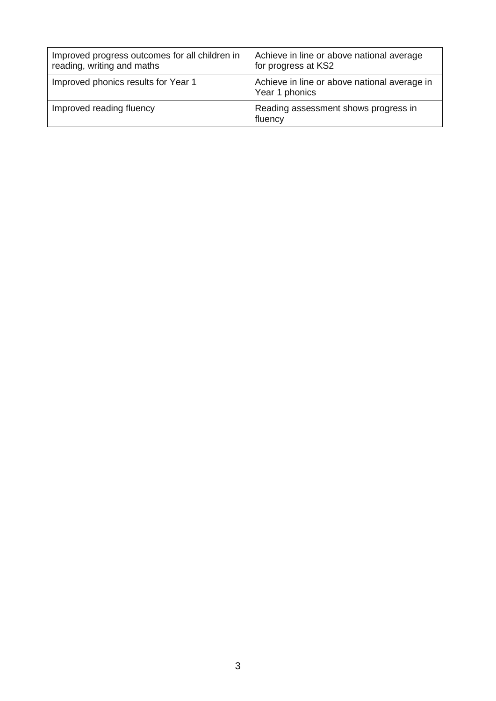| Improved progress outcomes for all children in<br>reading, writing and maths | Achieve in line or above national average<br>for progress at KS2 |
|------------------------------------------------------------------------------|------------------------------------------------------------------|
| Improved phonics results for Year 1                                          | Achieve in line or above national average in<br>Year 1 phonics   |
| Improved reading fluency                                                     | Reading assessment shows progress in<br>fluency                  |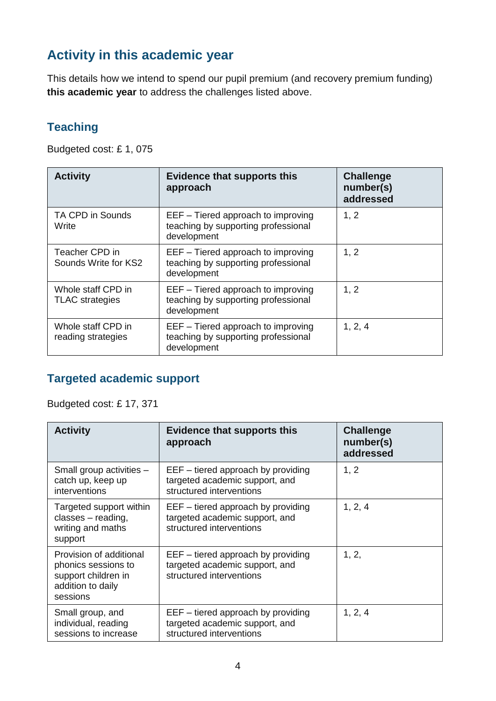## **Activity in this academic year**

This details how we intend to spend our pupil premium (and recovery premium funding) **this academic year** to address the challenges listed above.

#### **Teaching**

Budgeted cost: £ 1, 075

| <b>Activity</b>                              | <b>Evidence that supports this</b><br>approach                                           | <b>Challenge</b><br>number(s)<br>addressed |
|----------------------------------------------|------------------------------------------------------------------------------------------|--------------------------------------------|
| <b>TA CPD in Sounds</b><br>Write             | EEF – Tiered approach to improving<br>teaching by supporting professional<br>development | 1, 2                                       |
| Teacher CPD in<br>Sounds Write for KS2       | EEF - Tiered approach to improving<br>teaching by supporting professional<br>development | 1, 2                                       |
| Whole staff CPD in<br><b>TLAC</b> strategies | EEF - Tiered approach to improving<br>teaching by supporting professional<br>development | 1, 2                                       |
| Whole staff CPD in<br>reading strategies     | EEF – Tiered approach to improving<br>teaching by supporting professional<br>development | 1, 2, 4                                    |

#### **Targeted academic support**

Budgeted cost: £ 17, 371

| <b>Activity</b>                                                                                        | <b>Evidence that supports this</b><br>approach                                                     | <b>Challenge</b><br>number(s)<br>addressed |
|--------------------------------------------------------------------------------------------------------|----------------------------------------------------------------------------------------------------|--------------------------------------------|
| Small group activities -<br>catch up, keep up<br>interventions                                         | $EEF -$ tiered approach by providing<br>targeted academic support, and<br>structured interventions | 1, 2                                       |
| Targeted support within<br>classes - reading,<br>writing and maths<br>support                          | $EEF - tiered$ approach by providing<br>targeted academic support, and<br>structured interventions | 1, 2, 4                                    |
| Provision of additional<br>phonics sessions to<br>support children in<br>addition to daily<br>sessions | $EEF -$ tiered approach by providing<br>targeted academic support, and<br>structured interventions | 1, 2,                                      |
| Small group, and<br>individual, reading<br>sessions to increase                                        | $EEF -$ tiered approach by providing<br>targeted academic support, and<br>structured interventions | 1, 2, 4                                    |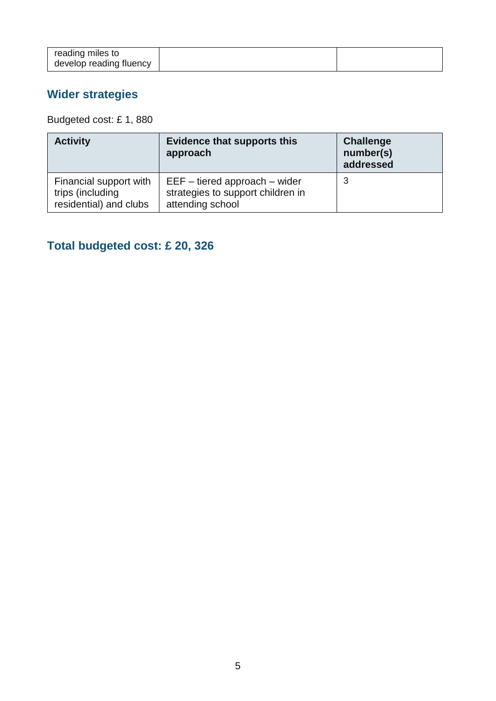## **Wider strategies**

Budgeted cost: £ 1, 880

| <b>Activity</b>                                                      | <b>Evidence that supports this</b><br>approach                                             | <b>Challenge</b><br>number(s)<br>addressed |
|----------------------------------------------------------------------|--------------------------------------------------------------------------------------------|--------------------------------------------|
| Financial support with<br>trips (including<br>residential) and clubs | $EEF - tiered$ approach $-$ wider<br>strategies to support children in<br>attending school | 3                                          |

## **Total budgeted cost: £ 20, 326**